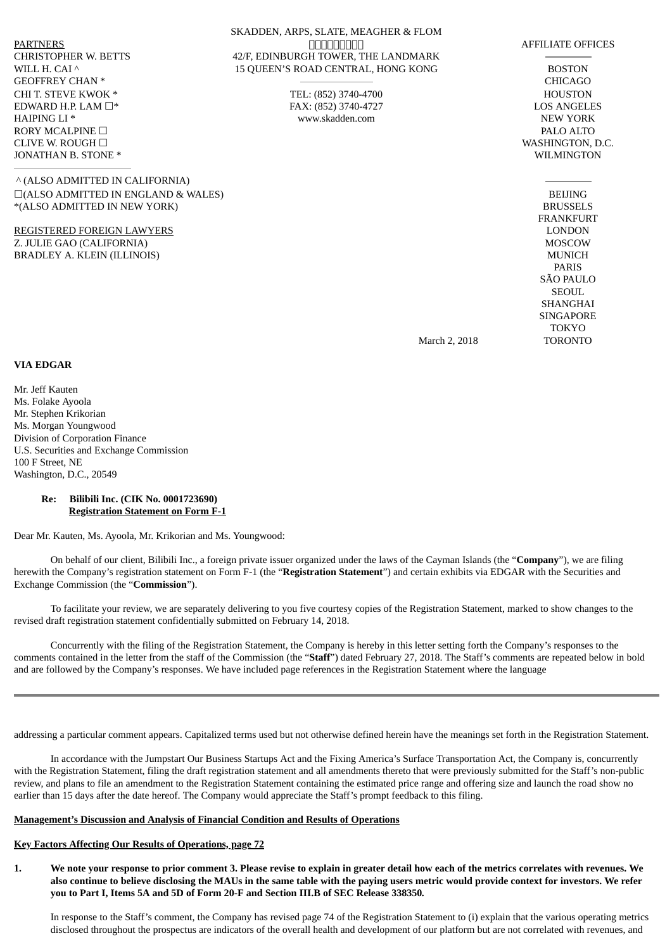GEOFFREY CHAN \* CHICAGO CHI T. STEVE KWOK \* TEL: (852) 3740-4700 HOUSTON EDWARD H.P. LAM ☐\* FAX: (852) 3740-4727 LOS ANGELES HAIPING LI \* THE REW YORK WAS MOVED AS A MOVED WAS MOVED WANTS WANTS AND MOVED WAS MOVED ASSESSED. RORY MCALPINE □ PALO ALTO CLIVE W. ROUGH □ WASHINGTON, D.C. JONATHAN B. STONE \* WILMINGTON

^ (ALSO ADMITTED IN CALIFORNIA) ☐(ALSO ADMITTED IN ENGLAND & WALES) BEIJING \*(ALSO ADMITTED IN NEW YORK) BRUSSELS

REGISTERED FOREIGN LAWYERS LONDON Z. JULIE GAO (CALIFORNIA) MOSCOW BRADLEY A. KLEIN (ILLINOIS) MUNICH

FRANKFURT PARIS SÃO PAULO SEOUL SHANGHAI SINGAPORE TOKYO

March 2, 2018 TORONTO

# **VIA EDGAR**

Mr. Jeff Kauten Ms. Folake Ayoola Mr. Stephen Krikorian Ms. Morgan Youngwood Division of Corporation Finance U.S. Securities and Exchange Commission 100 F Street, NE Washington, D.C., 20549

#### **Re: Bilibili Inc. (CIK No. 0001723690) Registration Statement on Form F-1**

Dear Mr. Kauten, Ms. Ayoola, Mr. Krikorian and Ms. Youngwood:

On behalf of our client, Bilibili Inc., a foreign private issuer organized under the laws of the Cayman Islands (the "**Company**"), we are filing herewith the Company's registration statement on Form F-1 (the "**Registration Statement**") and certain exhibits via EDGAR with the Securities and Exchange Commission (the "**Commission**").

To facilitate your review, we are separately delivering to you five courtesy copies of the Registration Statement, marked to show changes to the revised draft registration statement confidentially submitted on February 14, 2018.

Concurrently with the filing of the Registration Statement, the Company is hereby in this letter setting forth the Company's responses to the comments contained in the letter from the staff of the Commission (the "**Staff**") dated February 27, 2018. The Staff's comments are repeated below in bold and are followed by the Company's responses. We have included page references in the Registration Statement where the language

addressing a particular comment appears. Capitalized terms used but not otherwise defined herein have the meanings set forth in the Registration Statement.

In accordance with the Jumpstart Our Business Startups Act and the Fixing America's Surface Transportation Act, the Company is, concurrently with the Registration Statement, filing the draft registration statement and all amendments thereto that were previously submitted for the Staff's non-public review, and plans to file an amendment to the Registration Statement containing the estimated price range and offering size and launch the road show no earlier than 15 days after the date hereof. The Company would appreciate the Staff's prompt feedback to this filing.

## **Management's Discussion and Analysis of Financial Condition and Results of Operations**

#### **Key Factors Affecting Our Results of Operations, page 72**

1. We note your response to prior comment 3. Please revise to explain in greater detail how each of the metrics correlates with revenues. We also continue to believe disclosing the MAUs in the same table with the paying users metric would provide context for investors. We refer **you to Part I, Items 5A and 5D of Form 20-F and Section III.B of SEC Release 338350***.*

In response to the Staff's comment, the Company has revised page 74 of the Registration Statement to (i) explain that the various operating metrics disclosed throughout the prospectus are indicators of the overall health and development of our platform but are not correlated with revenues, and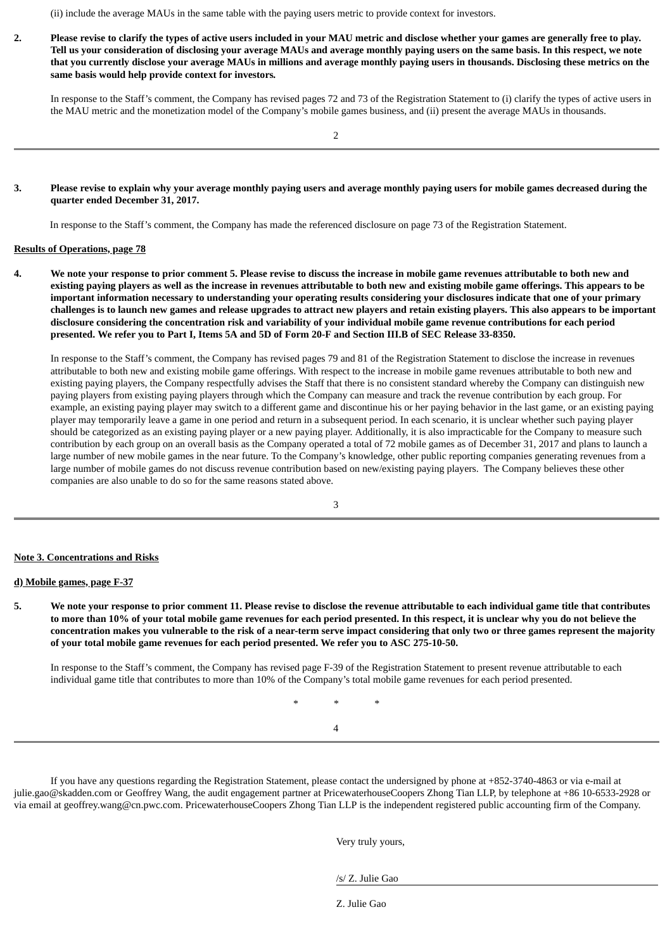(ii) include the average MAUs in the same table with the paying users metric to provide context for investors.

2. Please revise to clarify the types of active users included in your MAU metric and disclose whether your games are generally free to play. Tell us your consideration of disclosing your average MAUs and average monthly paying users on the same basis. In this respect, we note that you currently disclose your average MAUs in millions and average monthly paying users in thousands. Disclosing these metrics on the **same basis would help provide context for investors***.*

In response to the Staff's comment, the Company has revised pages 72 and 73 of the Registration Statement to (i) clarify the types of active users in the MAU metric and the monetization model of the Company's mobile games business, and (ii) present the average MAUs in thousands.

### 3. Please revise to explain why your average monthly paying users and average monthly paying users for mobile games decreased during the **quarter ended December 31, 2017.**

In response to the Staff's comment, the Company has made the referenced disclosure on page 73 of the Registration Statement.

### **Results of Operations, page 78**

4. We note your response to prior comment 5. Please revise to discuss the increase in mobile game revenues attributable to both new and existing paying players as well as the increase in revenues attributable to both new and existing mobile game offerings. This appears to be important information necessary to understanding your operating results considering your disclosures indicate that one of your primary challenges is to launch new games and release upgrades to attract new players and retain existing players. This also appears to be important disclosure considering the concentration risk and variability of your individual mobile game revenue contributions for each period presented. We refer you to Part I, Items 5A and 5D of Form 20-F and Section III.B of SEC Release 33-8350.

In response to the Staff's comment, the Company has revised pages 79 and 81 of the Registration Statement to disclose the increase in revenues attributable to both new and existing mobile game offerings. With respect to the increase in mobile game revenues attributable to both new and existing paying players, the Company respectfully advises the Staff that there is no consistent standard whereby the Company can distinguish new paying players from existing paying players through which the Company can measure and track the revenue contribution by each group. For example, an existing paying player may switch to a different game and discontinue his or her paying behavior in the last game, or an existing paying player may temporarily leave a game in one period and return in a subsequent period. In each scenario, it is unclear whether such paying player should be categorized as an existing paying player or a new paying player. Additionally, it is also impracticable for the Company to measure such contribution by each group on an overall basis as the Company operated a total of 72 mobile games as of December 31, 2017 and plans to launch a large number of new mobile games in the near future. To the Company's knowledge, other public reporting companies generating revenues from a large number of mobile games do not discuss revenue contribution based on new/existing paying players. The Company believes these other companies are also unable to do so for the same reasons stated above.

3

#### **Note 3. Concentrations and Risks**

### **d) Mobile games, page F-37**

5. We note your response to prior comment 11. Please revise to disclose the revenue attributable to each individual game title that contributes to more than 10% of your total mobile game revenues for each period presented. In this respect, it is unclear why you do not believe the concentration makes you vulnerable to the risk of a near-term serve impact considering that only two or three games represent the majority **of your total mobile game revenues for each period presented. We refer you to ASC 275-10-50.**

In response to the Staff's comment, the Company has revised page F-39 of the Registration Statement to present revenue attributable to each individual game title that contributes to more than 10% of the Company's total mobile game revenues for each period presented.

> *\* \* \** 4

If you have any questions regarding the Registration Statement, please contact the undersigned by phone at +852-3740-4863 or via e-mail at julie.gao@skadden.com or Geoffrey Wang, the audit engagement partner at PricewaterhouseCoopers Zhong Tian LLP, by telephone at +86 10-6533-2928 or via email at geoffrey.wang@cn.pwc.com. PricewaterhouseCoopers Zhong Tian LLP is the independent registered public accounting firm of the Company.

Very truly yours,

/s/ Z. Julie Gao

Z. Julie Gao